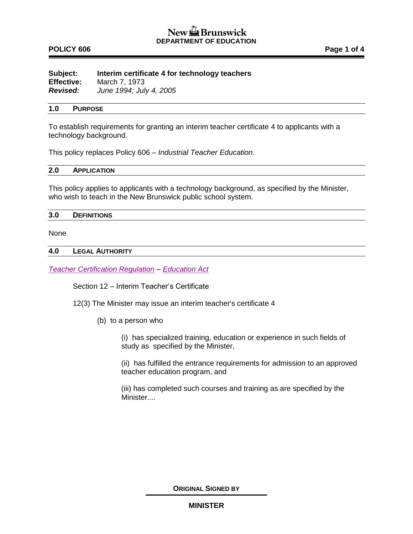# **POLICY 606 Page 1 of 4**

| Subject:          | Interim certificate 4 for technology teachers |
|-------------------|-----------------------------------------------|
| <b>Effective:</b> | March 7, 1973                                 |
| <b>Revised:</b>   | June 1994; July 4, 2005                       |

#### **1.0 PURPOSE**

To establish requirements for granting an interim teacher certificate 4 to applicants with a technology background.

This policy replaces Policy 606 – *Industrial Teacher Education*.

## **2.0 APPLICATION**

This policy applies to applicants with a technology background, as specified by the Minister, who wish to teach in the New Brunswick public school system.

#### **3.0 DEFINITIONS**

None

#### **4.0 LEGAL AUTHORITY**

*[Teacher Certification Regulation](http://laws.gnb.ca/en/ShowPdf/cr/2004-8.pdf) – [Education Act](http://laws.gnb.ca/en/ShowPdf/cs/E-1.12.pdf)*

Section 12 – Interim Teacher's Certificate

12(3) The Minister may issue an interim teacher's certificate 4

(b) to a person who

(i) has specialized training, education or experience in such fields of study as specified by the Minister,

(ii) has fulfilled the entrance requirements for admission to an approved teacher education program, and

(iii) has completed such courses and training as are specified by the Minister....

**ORIGINAL SIGNED BY**

## **MINISTER**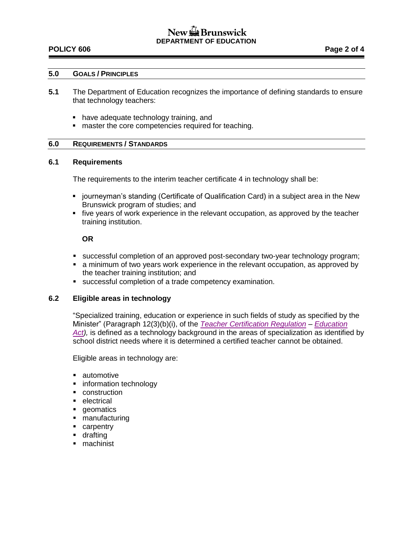# New **Brunswick DEPARTMENT OF EDUCATION**

## **POLICY 606 Page 2 of 4**

### **5.0 GOALS / PRINCIPLES**

- **5.1** The Department of Education recognizes the importance of defining standards to ensure that technology teachers:
	- have adequate technology training, and
	- **naster the core competencies required for teaching.**

## **6.0 REQUIREMENTS / STANDARDS**

#### **6.1 Requirements**

The requirements to the interim teacher certificate 4 in technology shall be:

- **journeyman's standing (Certificate of Qualification Card) in a subject area in the New** Brunswick program of studies; and
- five years of work experience in the relevant occupation, as approved by the teacher training institution.

## **OR**

- successful completion of an approved post-secondary two-year technology program;
- a minimum of two years work experience in the relevant occupation, as approved by the teacher training institution; and
- successful completion of a trade competency examination.

## **6.2 Eligible areas in technology**

"Specialized training, education or experience in such fields of study as specified by the Minister" (Paragraph 12(3)(b)(i), of the *[Teacher Certification Regulation](http://laws.gnb.ca/en/ShowPdf/cr/2004-8.pdf) – [Education](http://laws.gnb.ca/en/ShowPdf/cs/E-1.12.pdf)  [Act\)](http://laws.gnb.ca/en/ShowPdf/cs/E-1.12.pdf),* is defined as a technology background in the areas of specialization as identified by school district needs where it is determined a certified teacher cannot be obtained.

Eligible areas in technology are:

- automotive
- **information technology**
- **construction**
- electrical
- **geomatics**
- manufacturing
- **carpentry**
- **drafting**
- machinist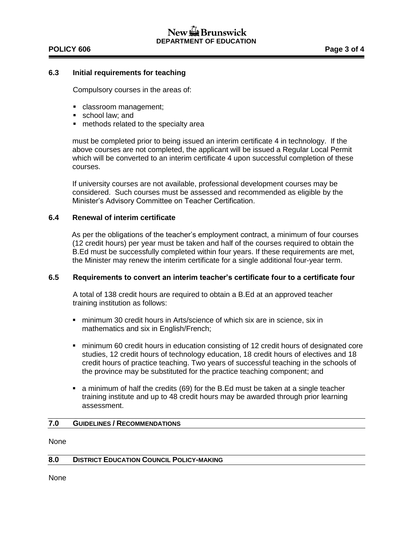## **POLICY 606 Page 3 of 4**

### **6.3 Initial requirements for teaching**

Compulsory courses in the areas of:

- classroom management;
- school law; and
- methods related to the specialty area

must be completed prior to being issued an interim certificate 4 in technology. If the above courses are not completed, the applicant will be issued a Regular Local Permit which will be converted to an interim certificate 4 upon successful completion of these courses.

If university courses are not available, professional development courses may be considered. Such courses must be assessed and recommended as eligible by the Minister's Advisory Committee on Teacher Certification.

#### **6.4 Renewal of interim certificate**

As per the obligations of the teacher's employment contract, a minimum of four courses (12 credit hours) per year must be taken and half of the courses required to obtain the B.Ed must be successfully completed within four years. If these requirements are met, the Minister may renew the interim certificate for a single additional four-year term.

#### **6.5 Requirements to convert an interim teacher's certificate four to a certificate four**

A total of 138 credit hours are required to obtain a B.Ed at an approved teacher training institution as follows:

- minimum 30 credit hours in Arts/science of which six are in science, six in mathematics and six in English/French;
- minimum 60 credit hours in education consisting of 12 credit hours of designated core studies, 12 credit hours of technology education, 18 credit hours of electives and 18 credit hours of practice teaching. Two years of successful teaching in the schools of the province may be substituted for the practice teaching component; and
- a minimum of half the credits (69) for the B.Ed must be taken at a single teacher training institute and up to 48 credit hours may be awarded through prior learning assessment.

## **7.0 GUIDELINES / RECOMMENDATIONS**

None

#### **8.0 DISTRICT EDUCATION COUNCIL POLICY-MAKING**

None